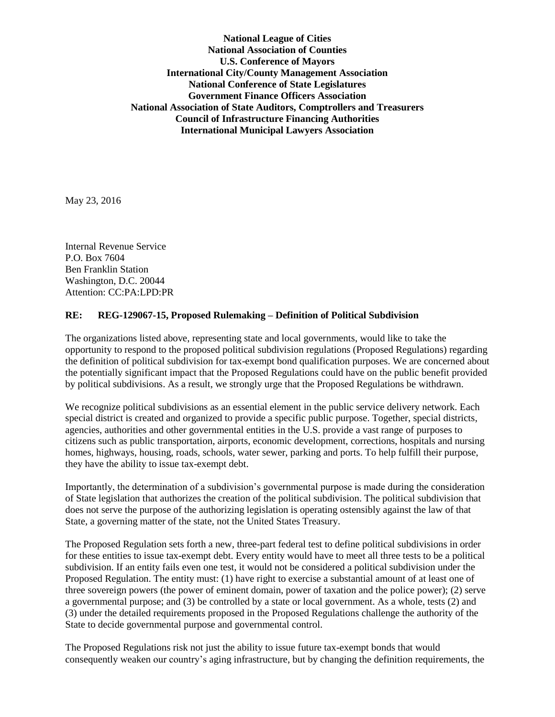**National League of Cities National Association of Counties U.S. Conference of Mayors International City/County Management Association National Conference of State Legislatures Government Finance Officers Association National Association of State Auditors, Comptrollers and Treasurers Council of Infrastructure Financing Authorities International Municipal Lawyers Association**

May 23, 2016

Internal Revenue Service P.O. Box 7604 Ben Franklin Station Washington, D.C. 20044 Attention: CC:PA:LPD:PR

## **RE: REG-129067-15, Proposed Rulemaking – Definition of Political Subdivision**

The organizations listed above, representing state and local governments, would like to take the opportunity to respond to the proposed political subdivision regulations (Proposed Regulations) regarding the definition of political subdivision for tax-exempt bond qualification purposes. We are concerned about the potentially significant impact that the Proposed Regulations could have on the public benefit provided by political subdivisions. As a result, we strongly urge that the Proposed Regulations be withdrawn.

We recognize political subdivisions as an essential element in the public service delivery network. Each special district is created and organized to provide a specific public purpose. Together, special districts, agencies, authorities and other governmental entities in the U.S. provide a vast range of purposes to citizens such as public transportation, airports, economic development, corrections, hospitals and nursing homes, highways, housing, roads, schools, water sewer, parking and ports. To help fulfill their purpose, they have the ability to issue tax-exempt debt.

Importantly, the determination of a subdivision's governmental purpose is made during the consideration of State legislation that authorizes the creation of the political subdivision. The political subdivision that does not serve the purpose of the authorizing legislation is operating ostensibly against the law of that State, a governing matter of the state, not the United States Treasury.

The Proposed Regulation sets forth a new, three-part federal test to define political subdivisions in order for these entities to issue tax-exempt debt. Every entity would have to meet all three tests to be a political subdivision. If an entity fails even one test, it would not be considered a political subdivision under the Proposed Regulation. The entity must: (1) have right to exercise a substantial amount of at least one of three sovereign powers (the power of eminent domain, power of taxation and the police power); (2) serve a governmental purpose; and (3) be controlled by a state or local government. As a whole, tests (2) and (3) under the detailed requirements proposed in the Proposed Regulations challenge the authority of the State to decide governmental purpose and governmental control.

The Proposed Regulations risk not just the ability to issue future tax-exempt bonds that would consequently weaken our country's aging infrastructure, but by changing the definition requirements, the